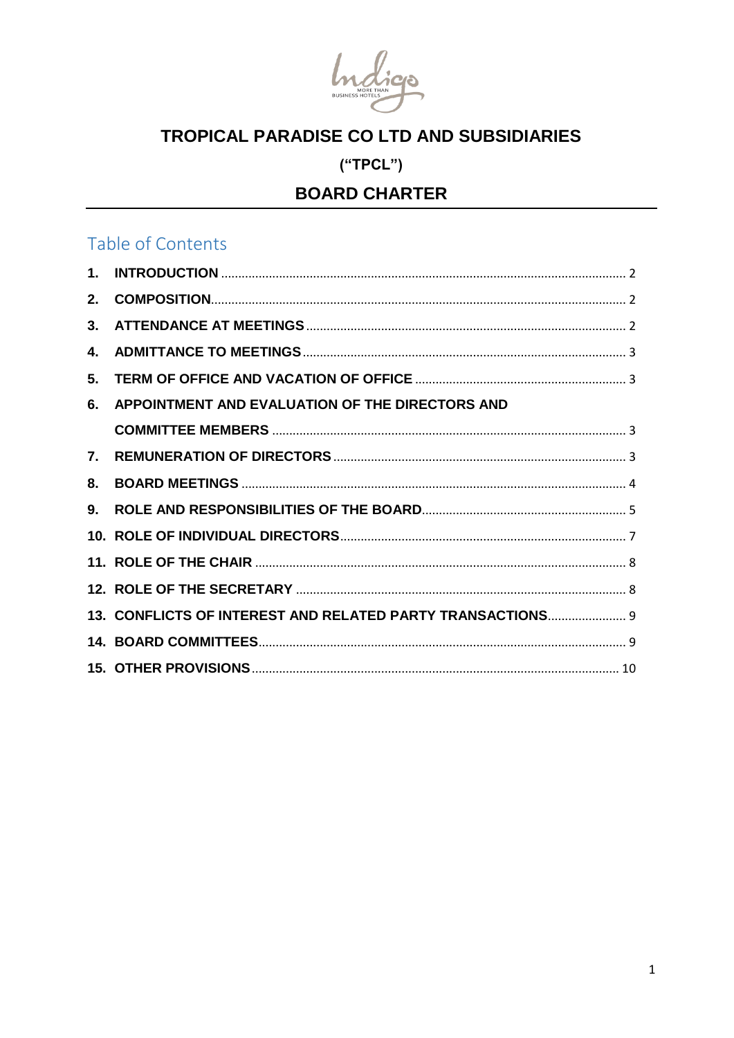

 $("TPCL")$ 

# **BOARD CHARTER**

# Table of Contents

<span id="page-0-0"></span>

| 2. |                                                            |
|----|------------------------------------------------------------|
| 3. |                                                            |
| 4. |                                                            |
| 5. |                                                            |
| 6. | APPOINTMENT AND EVALUATION OF THE DIRECTORS AND            |
|    |                                                            |
| 7. |                                                            |
| 8. |                                                            |
| 9. |                                                            |
|    |                                                            |
|    |                                                            |
|    |                                                            |
|    | 13. CONFLICTS OF INTEREST AND RELATED PARTY TRANSACTIONS 9 |
|    |                                                            |
|    |                                                            |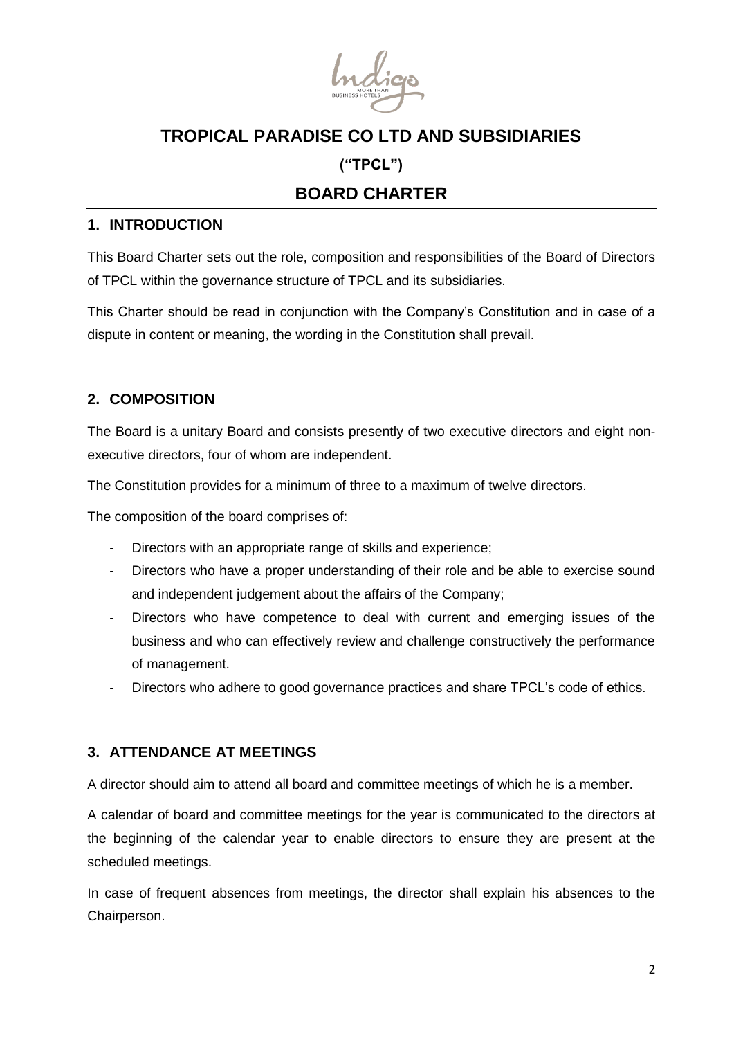

## **("TPCL")**

# **BOARD CHARTER**

### **1. INTRODUCTION**

This Board Charter sets out the role, composition and responsibilities of the Board of Directors of TPCL within the governance structure of TPCL and its subsidiaries.

This Charter should be read in conjunction with the Company's Constitution and in case of a dispute in content or meaning, the wording in the Constitution shall prevail.

### <span id="page-1-0"></span>**2. COMPOSITION**

The Board is a unitary Board and consists presently of two executive directors and eight nonexecutive directors, four of whom are independent.

The Constitution provides for a minimum of three to a maximum of twelve directors.

The composition of the board comprises of:

- Directors with an appropriate range of skills and experience;
- Directors who have a proper understanding of their role and be able to exercise sound and independent judgement about the affairs of the Company;
- Directors who have competence to deal with current and emerging issues of the business and who can effectively review and challenge constructively the performance of management.
- Directors who adhere to good governance practices and share TPCL's code of ethics.

## <span id="page-1-1"></span>**3. ATTENDANCE AT MEETINGS**

A director should aim to attend all board and committee meetings of which he is a member.

A calendar of board and committee meetings for the year is communicated to the directors at the beginning of the calendar year to enable directors to ensure they are present at the scheduled meetings.

In case of frequent absences from meetings, the director shall explain his absences to the Chairperson.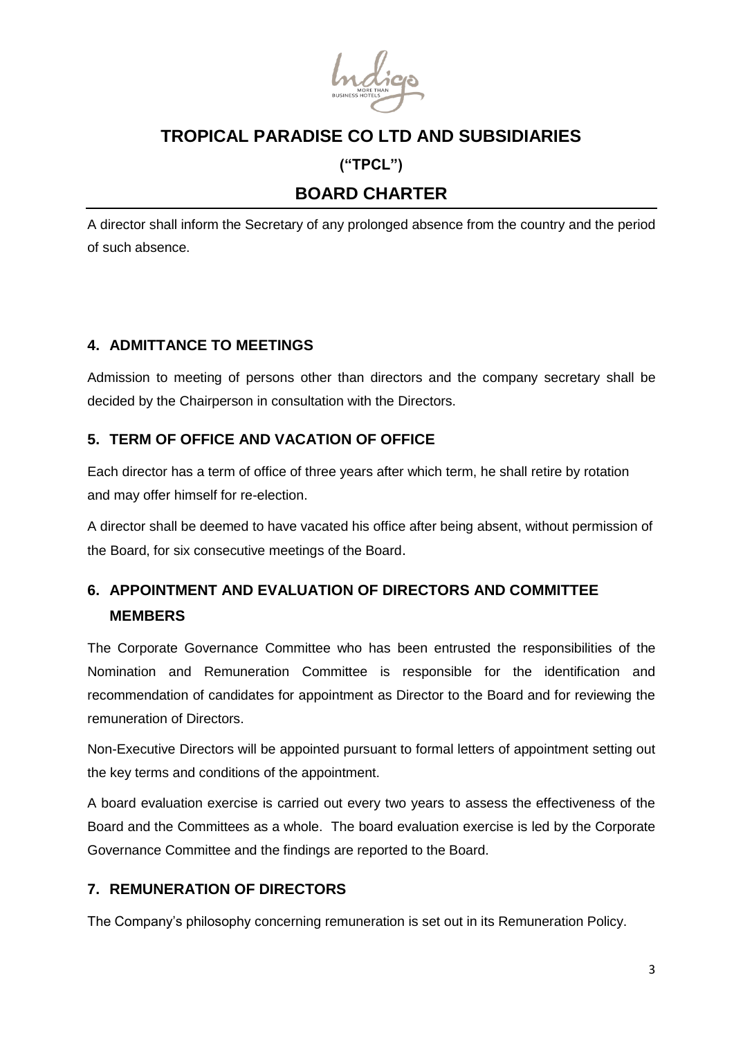

## **("TPCL")**

# **BOARD CHARTER**

A director shall inform the Secretary of any prolonged absence from the country and the period of such absence.

### <span id="page-2-0"></span>**4. ADMITTANCE TO MEETINGS**

Admission to meeting of persons other than directors and the company secretary shall be decided by the Chairperson in consultation with the Directors.

## <span id="page-2-1"></span>**5. TERM OF OFFICE AND VACATION OF OFFICE**

Each director has a term of office of three years after which term, he shall retire by rotation and may offer himself for re-election.

A director shall be deemed to have vacated his office after being absent, without permission of the Board, for six consecutive meetings of the Board.

# <span id="page-2-2"></span>**6. APPOINTMENT AND EVALUATION OF DIRECTORS AND COMMITTEE MEMBERS**

The Corporate Governance Committee who has been entrusted the responsibilities of the Nomination and Remuneration Committee is responsible for the identification and recommendation of candidates for appointment as Director to the Board and for reviewing the remuneration of Directors.

Non-Executive Directors will be appointed pursuant to formal letters of appointment setting out the key terms and conditions of the appointment.

A board evaluation exercise is carried out every two years to assess the effectiveness of the Board and the Committees as a whole. The board evaluation exercise is led by the Corporate Governance Committee and the findings are reported to the Board.

## <span id="page-2-3"></span>**7. REMUNERATION OF DIRECTORS**

The Company's philosophy concerning remuneration is set out in its Remuneration Policy.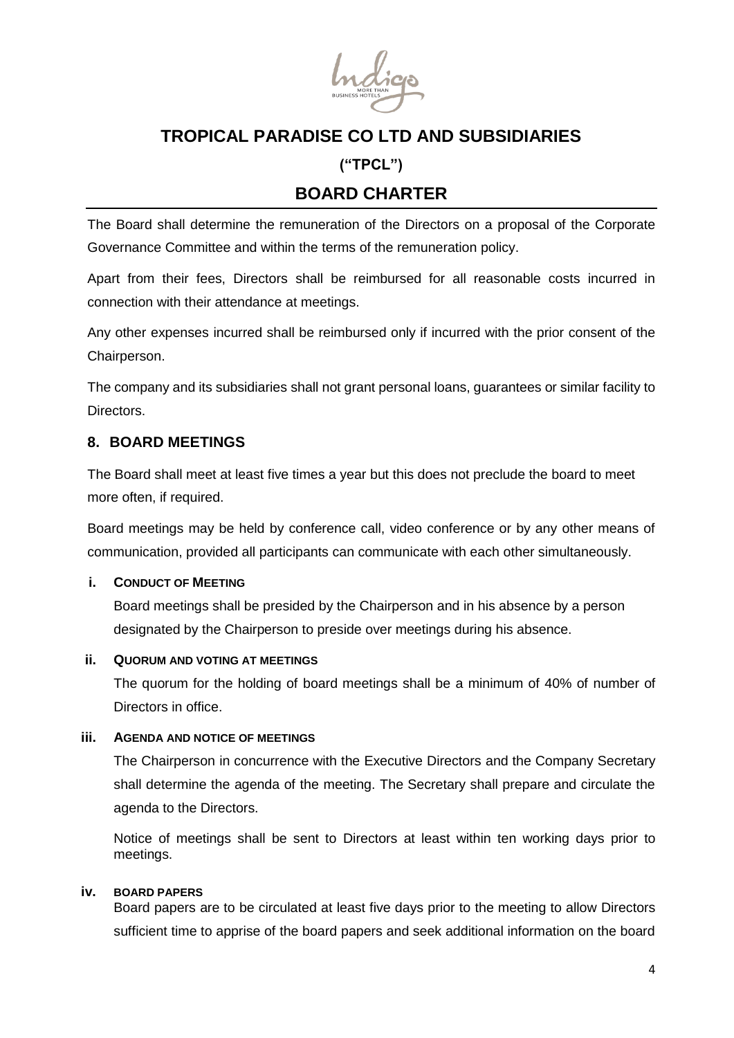

## **("TPCL")**

# **BOARD CHARTER**

The Board shall determine the remuneration of the Directors on a proposal of the Corporate Governance Committee and within the terms of the remuneration policy.

Apart from their fees, Directors shall be reimbursed for all reasonable costs incurred in connection with their attendance at meetings.

Any other expenses incurred shall be reimbursed only if incurred with the prior consent of the Chairperson.

The company and its subsidiaries shall not grant personal loans, guarantees or similar facility to Directors.

### <span id="page-3-0"></span>**8. BOARD MEETINGS**

The Board shall meet at least five times a year but this does not preclude the board to meet more often, if required.

Board meetings may be held by conference call, video conference or by any other means of communication, provided all participants can communicate with each other simultaneously.

### **i. CONDUCT OF MEETING**

Board meetings shall be presided by the Chairperson and in his absence by a person designated by the Chairperson to preside over meetings during his absence.

### **ii. QUORUM AND VOTING AT MEETINGS**

The quorum for the holding of board meetings shall be a minimum of 40% of number of Directors in office.

### **iii. AGENDA AND NOTICE OF MEETINGS**

The Chairperson in concurrence with the Executive Directors and the Company Secretary shall determine the agenda of the meeting. The Secretary shall prepare and circulate the agenda to the Directors.

Notice of meetings shall be sent to Directors at least within ten working days prior to meetings.

### **iv. BOARD PAPERS**

Board papers are to be circulated at least five days prior to the meeting to allow Directors sufficient time to apprise of the board papers and seek additional information on the board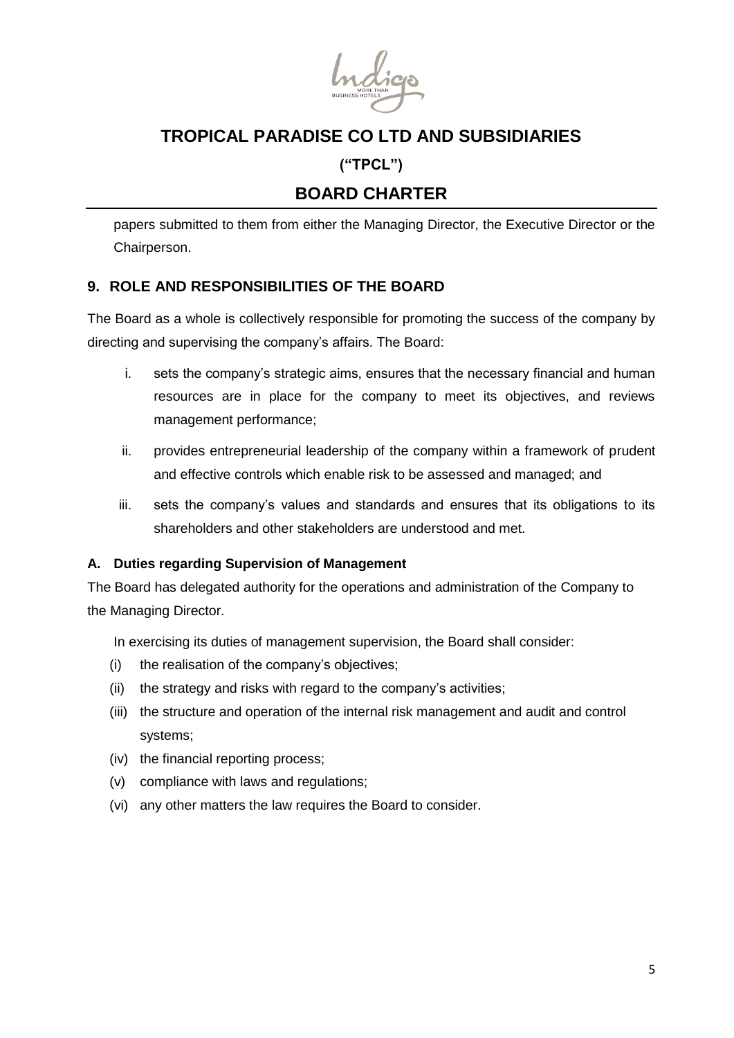

## **("TPCL")**

# **BOARD CHARTER**

papers submitted to them from either the Managing Director, the Executive Director or the Chairperson.

### <span id="page-4-0"></span>**9. ROLE AND RESPONSIBILITIES OF THE BOARD**

The Board as a whole is collectively responsible for promoting the success of the company by directing and supervising the company's affairs. The Board:

- i. sets the company's strategic aims, ensures that the necessary financial and human resources are in place for the company to meet its objectives, and reviews management performance;
- ii. provides entrepreneurial leadership of the company within a framework of prudent and effective controls which enable risk to be assessed and managed; and
- iii. sets the company's values and standards and ensures that its obligations to its shareholders and other stakeholders are understood and met.

### **A. Duties regarding Supervision of Management**

The Board has delegated authority for the operations and administration of the Company to the Managing Director.

In exercising its duties of management supervision, the Board shall consider:

- (i) the realisation of the company's objectives;
- (ii) the strategy and risks with regard to the company's activities;
- (iii) the structure and operation of the internal risk management and audit and control systems;
- (iv) the financial reporting process;
- (v) compliance with laws and regulations;
- (vi) any other matters the law requires the Board to consider.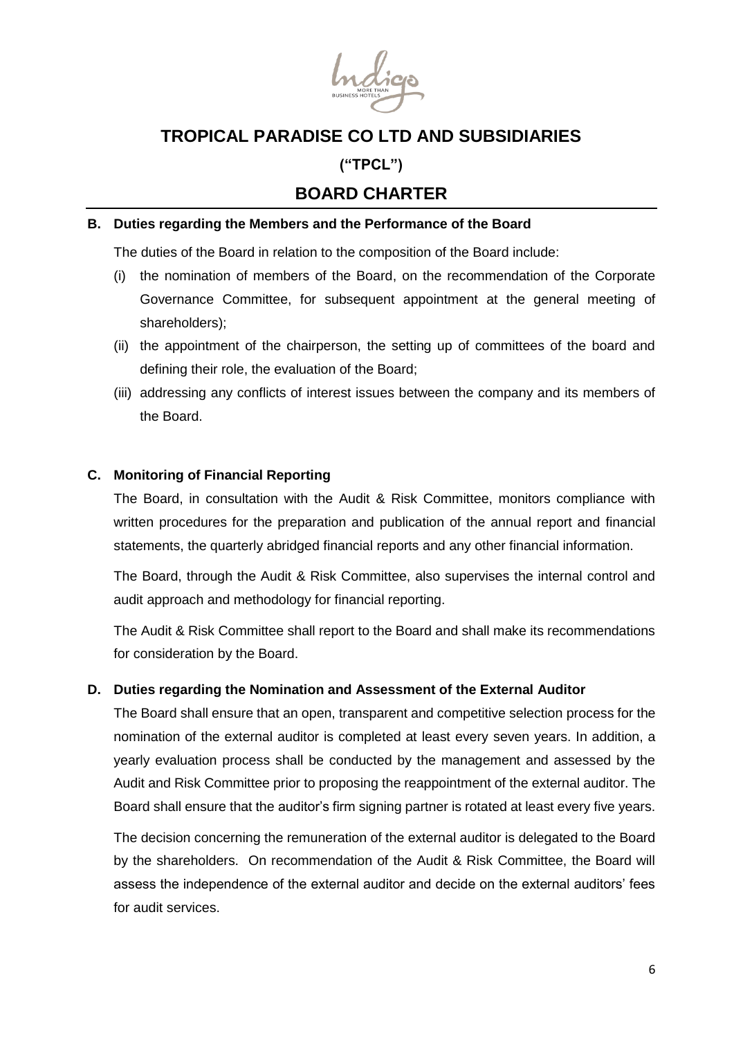

## **("TPCL")**

# **BOARD CHARTER**

#### **B. Duties regarding the Members and the Performance of the Board**

The duties of the Board in relation to the composition of the Board include:

- (i) the nomination of members of the Board, on the recommendation of the Corporate Governance Committee, for subsequent appointment at the general meeting of shareholders);
- (ii) the appointment of the chairperson, the setting up of committees of the board and defining their role, the evaluation of the Board;
- (iii) addressing any conflicts of interest issues between the company and its members of the Board.

### **C. Monitoring of Financial Reporting**

The Board, in consultation with the Audit & Risk Committee, monitors compliance with written procedures for the preparation and publication of the annual report and financial statements, the quarterly abridged financial reports and any other financial information.

The Board, through the Audit & Risk Committee, also supervises the internal control and audit approach and methodology for financial reporting.

The Audit & Risk Committee shall report to the Board and shall make its recommendations for consideration by the Board.

#### **D. Duties regarding the Nomination and Assessment of the External Auditor**

The Board shall ensure that an open, transparent and competitive selection process for the nomination of the external auditor is completed at least every seven years. In addition, a yearly evaluation process shall be conducted by the management and assessed by the Audit and Risk Committee prior to proposing the reappointment of the external auditor. The Board shall ensure that the auditor's firm signing partner is rotated at least every five years.

The decision concerning the remuneration of the external auditor is delegated to the Board by the shareholders. On recommendation of the Audit & Risk Committee, the Board will assess the independence of the external auditor and decide on the external auditors' fees for audit services.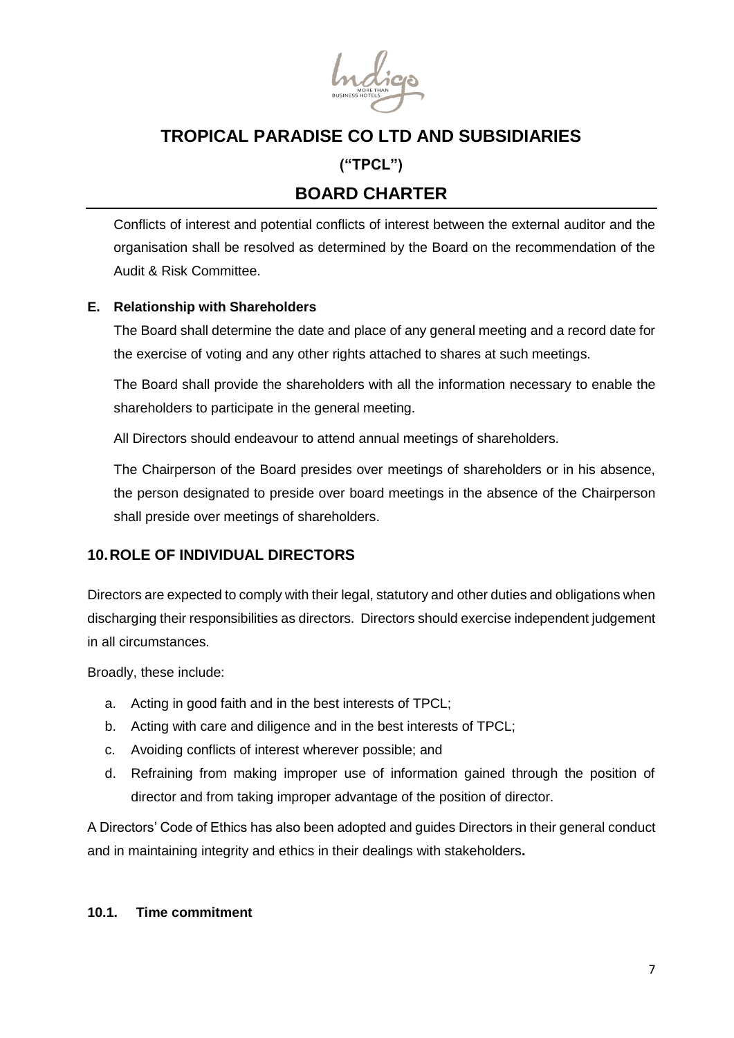

## **("TPCL")**

# **BOARD CHARTER**

Conflicts of interest and potential conflicts of interest between the external auditor and the organisation shall be resolved as determined by the Board on the recommendation of the Audit & Risk Committee.

### **E. Relationship with Shareholders**

The Board shall determine the date and place of any general meeting and a record date for the exercise of voting and any other rights attached to shares at such meetings.

The Board shall provide the shareholders with all the information necessary to enable the shareholders to participate in the general meeting.

All Directors should endeavour to attend annual meetings of shareholders.

The Chairperson of the Board presides over meetings of shareholders or in his absence, the person designated to preside over board meetings in the absence of the Chairperson shall preside over meetings of shareholders.

## <span id="page-6-0"></span>**10.ROLE OF INDIVIDUAL DIRECTORS**

Directors are expected to comply with their legal, statutory and other duties and obligations when discharging their responsibilities as directors. Directors should exercise independent judgement in all circumstances.

Broadly, these include:

- a. Acting in good faith and in the best interests of TPCL;
- b. Acting with care and diligence and in the best interests of TPCL;
- c. Avoiding conflicts of interest wherever possible; and
- d. Refraining from making improper use of information gained through the position of director and from taking improper advantage of the position of director.

A Directors' Code of Ethics has also been adopted and guides Directors in their general conduct and in maintaining integrity and ethics in their dealings with stakeholders**.**

### **10.1. Time commitment**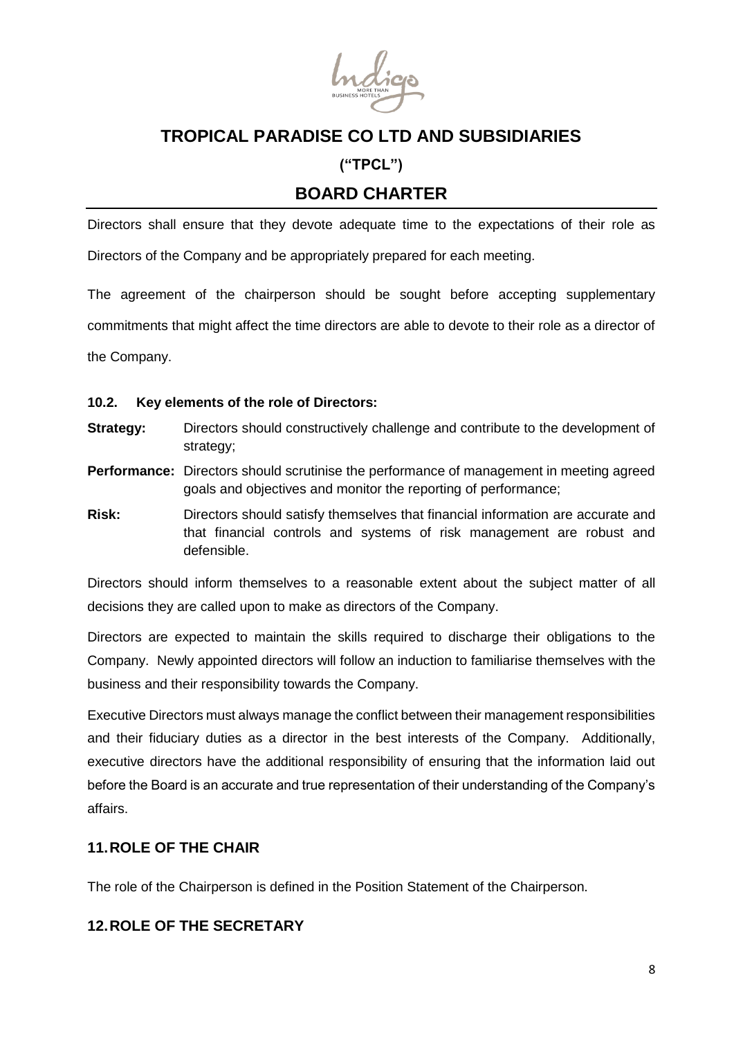

## **("TPCL")**

# **BOARD CHARTER**

Directors shall ensure that they devote adequate time to the expectations of their role as Directors of the Company and be appropriately prepared for each meeting.

The agreement of the chairperson should be sought before accepting supplementary commitments that might affect the time directors are able to devote to their role as a director of the Company.

### **10.2. Key elements of the role of Directors:**

- **Strategy:** Directors should constructively challenge and contribute to the development of strategy;
- **Performance:** Directors should scrutinise the performance of management in meeting agreed goals and objectives and monitor the reporting of performance;
- **Risk:** Directors should satisfy themselves that financial information are accurate and that financial controls and systems of risk management are robust and defensible.

Directors should inform themselves to a reasonable extent about the subject matter of all decisions they are called upon to make as directors of the Company.

Directors are expected to maintain the skills required to discharge their obligations to the Company. Newly appointed directors will follow an induction to familiarise themselves with the business and their responsibility towards the Company.

Executive Directors must always manage the conflict between their management responsibilities and their fiduciary duties as a director in the best interests of the Company. Additionally, executive directors have the additional responsibility of ensuring that the information laid out before the Board is an accurate and true representation of their understanding of the Company's affairs.

## <span id="page-7-0"></span>**11.ROLE OF THE CHAIR**

The role of the Chairperson is defined in the Position Statement of the Chairperson.

## <span id="page-7-1"></span>**12.ROLE OF THE SECRETARY**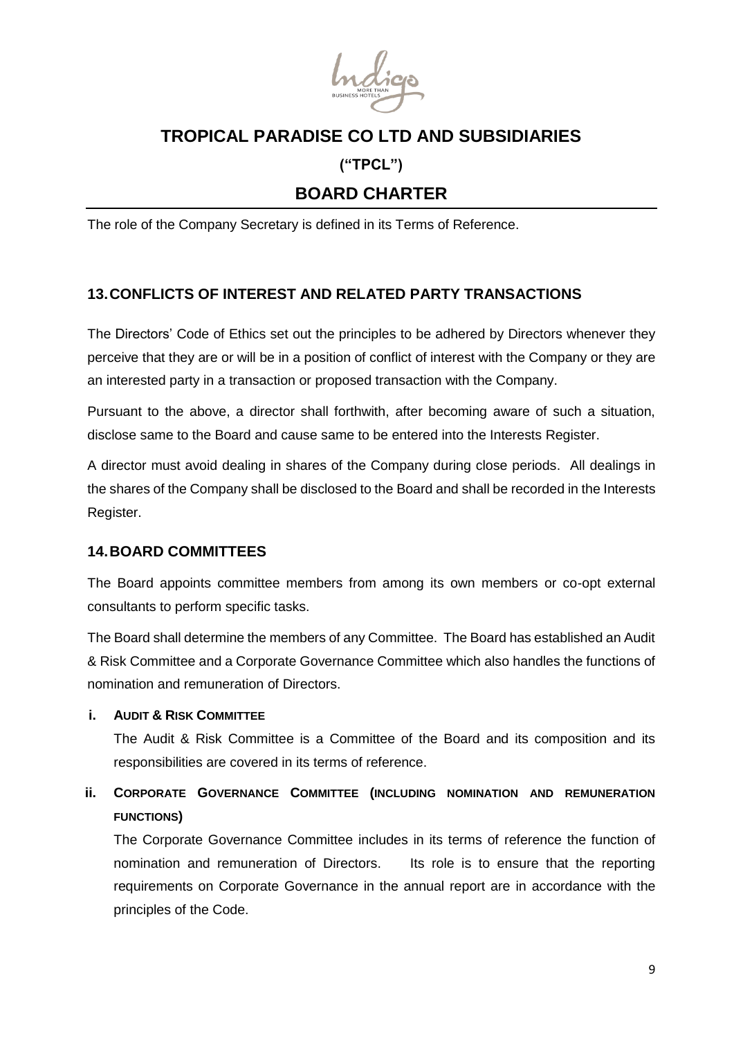

## **("TPCL")**

# **BOARD CHARTER**

The role of the Company Secretary is defined in its Terms of Reference.

## <span id="page-8-0"></span>**13.CONFLICTS OF INTEREST AND RELATED PARTY TRANSACTIONS**

The Directors' Code of Ethics set out the principles to be adhered by Directors whenever they perceive that they are or will be in a position of conflict of interest with the Company or they are an interested party in a transaction or proposed transaction with the Company.

Pursuant to the above, a director shall forthwith, after becoming aware of such a situation, disclose same to the Board and cause same to be entered into the Interests Register.

A director must avoid dealing in shares of the Company during close periods. All dealings in the shares of the Company shall be disclosed to the Board and shall be recorded in the Interests Register.

### <span id="page-8-1"></span>**14.BOARD COMMITTEES**

The Board appoints committee members from among its own members or co-opt external consultants to perform specific tasks.

The Board shall determine the members of any Committee. The Board has established an Audit & Risk Committee and a Corporate Governance Committee which also handles the functions of nomination and remuneration of Directors.

#### **i. AUDIT & RISK COMMITTEE**

The Audit & Risk Committee is a Committee of the Board and its composition and its responsibilities are covered in its terms of reference.

**ii. CORPORATE GOVERNANCE COMMITTEE (INCLUDING NOMINATION AND REMUNERATION FUNCTIONS)**

The Corporate Governance Committee includes in its terms of reference the function of nomination and remuneration of Directors. Its role is to ensure that the reporting requirements on Corporate Governance in the annual report are in accordance with the principles of the Code.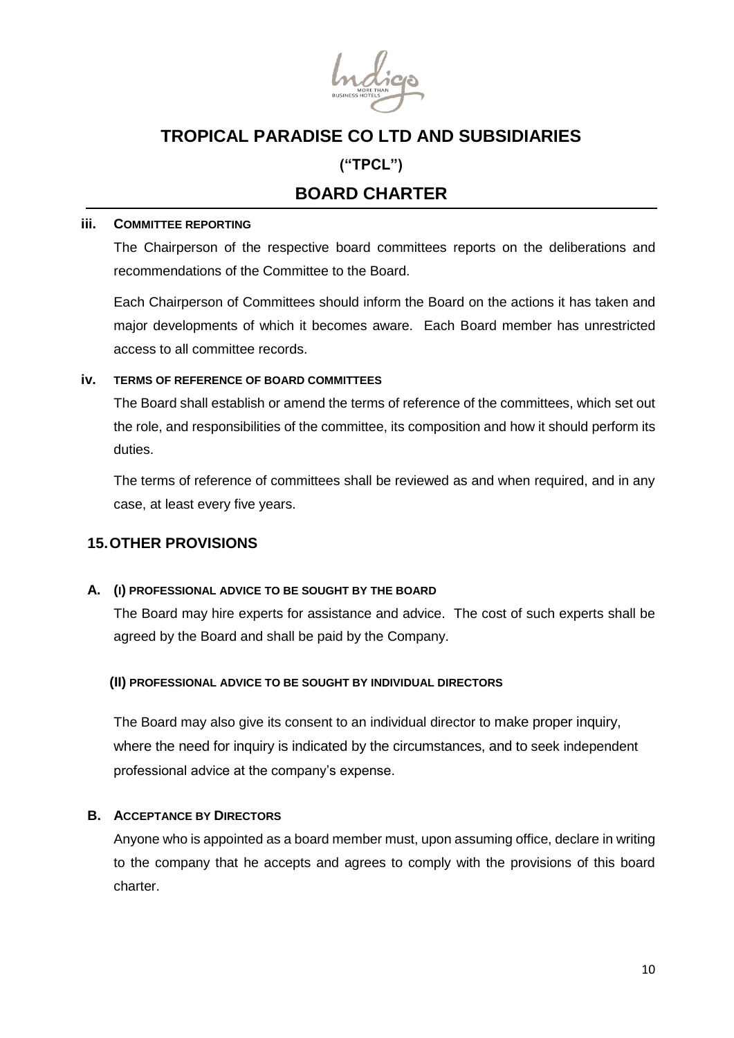

### **("TPCL")**

# **BOARD CHARTER**

#### **iii. COMMITTEE REPORTING**

The Chairperson of the respective board committees reports on the deliberations and recommendations of the Committee to the Board.

Each Chairperson of Committees should inform the Board on the actions it has taken and major developments of which it becomes aware. Each Board member has unrestricted access to all committee records.

#### **iv. TERMS OF REFERENCE OF BOARD COMMITTEES**

The Board shall establish or amend the terms of reference of the committees, which set out the role, and responsibilities of the committee, its composition and how it should perform its duties.

The terms of reference of committees shall be reviewed as and when required, and in any case, at least every five years.

### <span id="page-9-0"></span>**15.OTHER PROVISIONS**

### **A. (I) PROFESSIONAL ADVICE TO BE SOUGHT BY THE BOARD**

The Board may hire experts for assistance and advice. The cost of such experts shall be agreed by the Board and shall be paid by the Company.

#### **(II) PROFESSIONAL ADVICE TO BE SOUGHT BY INDIVIDUAL DIRECTORS**

The Board may also give its consent to an individual director to make proper inquiry, where the need for inquiry is indicated by the circumstances, and to seek independent professional advice at the company's expense.

#### **B. ACCEPTANCE BY DIRECTORS**

Anyone who is appointed as a board member must, upon assuming office, declare in writing to the company that he accepts and agrees to comply with the provisions of this board charter.